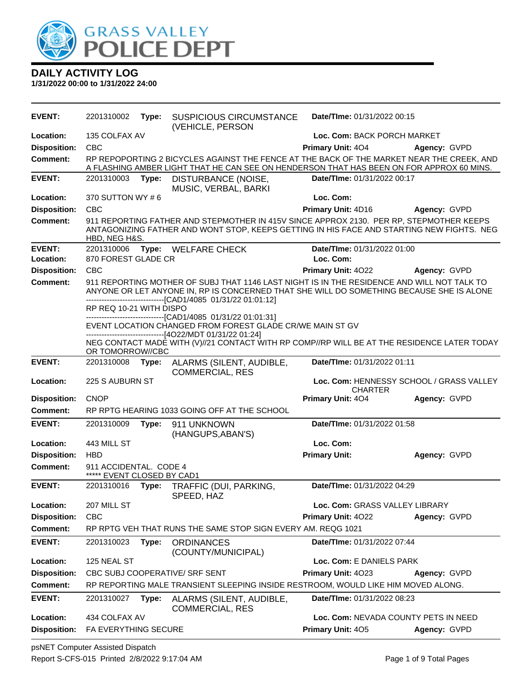

**1/31/2022 00:00 to 1/31/2022 24:00**

| <b>EVENT:</b>       | 2201310002                                           | Type: | <b>SUSPICIOUS CIRCUMSTANCE</b><br>(VEHICLE, PERSON                                                                                                                                                                                                      | Date/TIme: 01/31/2022 00:15                               |                                          |
|---------------------|------------------------------------------------------|-------|---------------------------------------------------------------------------------------------------------------------------------------------------------------------------------------------------------------------------------------------------------|-----------------------------------------------------------|------------------------------------------|
| Location:           | 135 COLFAX AV                                        |       |                                                                                                                                                                                                                                                         | Loc. Com: BACK PORCH MARKET                               |                                          |
| <b>Disposition:</b> | <b>CBC</b>                                           |       |                                                                                                                                                                                                                                                         | Primary Unit: 404                                         | Agency: GVPD                             |
| <b>Comment:</b>     |                                                      |       | RP REPOPORTING 2 BICYCLES AGAINST THE FENCE AT THE BACK OF THE MARKET NEAR THE CREEK, AND<br>A FLASHING AMBER LIGHT THAT HE CAN SEE ON HENDERSON THAT HAS BEEN ON FOR APPROX 60 MINS.                                                                   |                                                           |                                          |
| <b>EVENT:</b>       | 2201310003                                           | Type: | DISTURBANCE (NOISE,<br>MUSIC, VERBAL, BARKI                                                                                                                                                                                                             | Date/TIme: 01/31/2022 00:17                               |                                          |
| Location:           | 370 SUTTON WY #6                                     |       |                                                                                                                                                                                                                                                         | Loc. Com:                                                 |                                          |
| <b>Disposition:</b> | <b>CBC</b>                                           |       |                                                                                                                                                                                                                                                         | Primary Unit: 4D16                                        | Agency: GVPD                             |
| <b>Comment:</b>     | HBD, NEG H&S.                                        |       | 911 REPORTING FATHER AND STEPMOTHER IN 415V SINCE APPROX 2130. PER RP, STEPMOTHER KEEPS<br>ANTAGONIZING FATHER AND WONT STOP, KEEPS GETTING IN HIS FACE AND STARTING NEW FIGHTS. NEG                                                                    |                                                           |                                          |
| <b>EVENT:</b>       | 2201310006                                           |       | Type: WELFARE CHECK                                                                                                                                                                                                                                     | Date/TIme: 01/31/2022 01:00                               |                                          |
| Location:           | 870 FOREST GLADE CR                                  |       |                                                                                                                                                                                                                                                         | Loc. Com:                                                 |                                          |
| <b>Disposition:</b> | <b>CBC</b>                                           |       |                                                                                                                                                                                                                                                         | Primary Unit: 4022                                        | Agency: GVPD                             |
| <b>Comment:</b>     |                                                      |       | 911 REPORTING MOTHER OF SUBJ THAT 1146 LAST NIGHT IS IN THE RESIDENCE AND WILL NOT TALK TO<br>ANYONE OR LET ANYONE IN, RP IS CONCERNED THAT SHE WILL DO SOMETHING BECAUSE SHE IS ALONE<br>--------------------------------[CAD1/4085 01/31/22 01:01:12] |                                                           |                                          |
|                     | RP REQ 10-21 WITH DISPO                              |       |                                                                                                                                                                                                                                                         |                                                           |                                          |
|                     |                                                      |       | -------------------------------[CAD1/4085 01/31/22 01:01:31]<br>EVENT LOCATION CHANGED FROM FOREST GLADE CR/WE MAIN ST GV<br>-------------------------------[4O22/MDT 01/31/22 01:24]                                                                   |                                                           |                                          |
|                     | OR TOMORROW//CBC                                     |       | NEG CONTACT MADE WITH (V)//21 CONTACT WITH RP COMP//RP WILL BE AT THE RESIDENCE LATER TODAY                                                                                                                                                             |                                                           |                                          |
| <b>EVENT:</b>       | 2201310008                                           | Type: | ALARMS (SILENT, AUDIBLE,<br><b>COMMERCIAL, RES</b>                                                                                                                                                                                                      | Date/TIme: 01/31/2022 01:11                               |                                          |
| Location:           | 225 S AUBURN ST                                      |       |                                                                                                                                                                                                                                                         | <b>CHARTER</b>                                            | Loc. Com: HENNESSY SCHOOL / GRASS VALLEY |
| <b>Disposition:</b> | <b>CNOP</b>                                          |       |                                                                                                                                                                                                                                                         | Primary Unit: 404                                         | Agency: GVPD                             |
| <b>Comment:</b>     |                                                      |       | RP RPTG HEARING 1033 GOING OFF AT THE SCHOOL                                                                                                                                                                                                            |                                                           |                                          |
| <b>EVENT:</b>       | 2201310009                                           | Type: | 911 UNKNOWN<br>(HANGUPS, ABAN'S)                                                                                                                                                                                                                        | Date/TIme: 01/31/2022 01:58                               |                                          |
| Location:           | 443 MILL ST                                          |       |                                                                                                                                                                                                                                                         | Loc. Com:                                                 |                                          |
| <b>Disposition:</b> | <b>HBD</b>                                           |       |                                                                                                                                                                                                                                                         | <b>Primary Unit:</b>                                      | Agency: GVPD                             |
| <b>Comment:</b>     | 911 ACCIDENTAL. CODE 4<br>***** EVENT CLOSED BY CAD1 |       |                                                                                                                                                                                                                                                         |                                                           |                                          |
| <b>EVENT:</b>       | 2201310016                                           | Type: | TRAFFIC (DUI, PARKING,<br>SPEED, HAZ                                                                                                                                                                                                                    | Date/TIme: 01/31/2022 04:29                               |                                          |
| Location:           | 207 MILL ST                                          |       |                                                                                                                                                                                                                                                         | Loc. Com: GRASS VALLEY LIBRARY                            |                                          |
| <b>Disposition:</b> | CBC                                                  |       |                                                                                                                                                                                                                                                         | Primary Unit: 4022                                        | Agency: GVPD                             |
| <b>Comment:</b>     |                                                      |       | RP RPTG VEH THAT RUNS THE SAME STOP SIGN EVERY AM. REQG 1021                                                                                                                                                                                            |                                                           |                                          |
| <b>EVENT:</b>       | 2201310023                                           | Type: | <b>ORDINANCES</b><br>(COUNTY/MUNICIPAL)                                                                                                                                                                                                                 | Date/TIme: 01/31/2022 07:44                               |                                          |
| Location:           | 125 NEAL ST                                          |       |                                                                                                                                                                                                                                                         | Loc. Com: E DANIELS PARK                                  |                                          |
| <b>Disposition:</b> |                                                      |       | CBC SUBJ COOPERATIVE/ SRF SENT                                                                                                                                                                                                                          | Primary Unit: 4023                                        | Agency: GVPD                             |
|                     |                                                      |       |                                                                                                                                                                                                                                                         |                                                           |                                          |
| <b>Comment:</b>     |                                                      |       | RP REPORTING MALE TRANSIENT SLEEPING INSIDE RESTROOM, WOULD LIKE HIM MOVED ALONG.                                                                                                                                                                       |                                                           |                                          |
| <b>EVENT:</b>       | 2201310027                                           | Type: | ALARMS (SILENT, AUDIBLE,<br><b>COMMERCIAL, RES</b>                                                                                                                                                                                                      | Date/TIme: 01/31/2022 08:23                               |                                          |
| Location:           | 434 COLFAX AV<br>FA EVERYTHING SECURE                |       |                                                                                                                                                                                                                                                         | Loc. Com: NEVADA COUNTY PETS IN NEED<br>Primary Unit: 405 | Agency: GVPD                             |

psNET Computer Assisted Dispatch Report S-CFS-015 Printed 2/8/2022 9:17:04 AM Page 1 of 9 Total Pages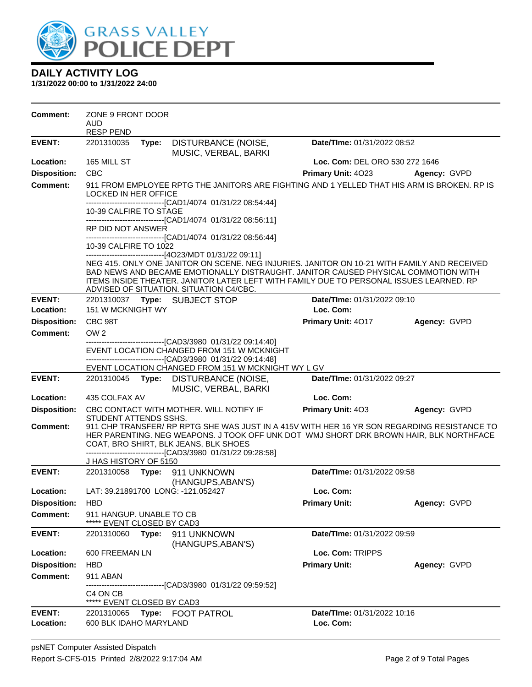

| Comment:            | ZONE 9 FRONT DOOR<br>AUD.<br><b>RESP PEND</b> |       |                                                                                                                                                               |                                                                                                                                                                                                                                                                              |              |
|---------------------|-----------------------------------------------|-------|---------------------------------------------------------------------------------------------------------------------------------------------------------------|------------------------------------------------------------------------------------------------------------------------------------------------------------------------------------------------------------------------------------------------------------------------------|--------------|
| <b>EVENT:</b>       | 2201310035                                    | Type: | DISTURBANCE (NOISE,<br>MUSIC, VERBAL, BARKI                                                                                                                   | Date/TIme: 01/31/2022 08:52                                                                                                                                                                                                                                                  |              |
| Location:           | 165 MILL ST                                   |       |                                                                                                                                                               | Loc. Com: DEL ORO 530 272 1646                                                                                                                                                                                                                                               |              |
| <b>Disposition:</b> | <b>CBC</b>                                    |       |                                                                                                                                                               | Primary Unit: 4023                                                                                                                                                                                                                                                           | Agency: GVPD |
| <b>Comment:</b>     | <b>LOCKED IN HER OFFICE</b>                   |       |                                                                                                                                                               | 911 FROM EMPLOYEE RPTG THE JANITORS ARE FIGHTING AND 1 YELLED THAT HIS ARM IS BROKEN. RP IS                                                                                                                                                                                  |              |
|                     | 10-39 CALFIRE TO STAGE                        |       | -------------------------------[CAD1/4074 01/31/22 08:54:44]<br>-------------------------------[CAD1/4074_01/31/22 08:56:11]                                  |                                                                                                                                                                                                                                                                              |              |
|                     | RP DID NOT ANSWER                             |       |                                                                                                                                                               |                                                                                                                                                                                                                                                                              |              |
|                     | 10-39 CALFIRE TO 1022                         |       | -------------------------------[CAD1/4074 01/31/22 08:56:44]                                                                                                  |                                                                                                                                                                                                                                                                              |              |
|                     |                                               |       | ------------------------------[4O23/MDT 01/31/22 09:11]<br>ADVISED OF SITUATION. SITUATION C4/CBC.                                                            | NEG 415. ONLY ONE JANITOR ON SCENE. NEG INJURIES. JANITOR ON 10-21 WITH FAMILY AND RECEIVED<br>BAD NEWS AND BECAME EMOTIONALLY DISTRAUGHT. JANITOR CAUSED PHYSICAL COMMOTION WITH<br>ITEMS INSIDE THEATER. JANITOR LATER LEFT WITH FAMILY DUE TO PERSONAL ISSUES LEARNED. RP |              |
| <b>EVENT:</b>       |                                               |       | 2201310037 Type: SUBJECT STOP                                                                                                                                 | Date/TIme: 01/31/2022 09:10                                                                                                                                                                                                                                                  |              |
| Location:           | 151 W MCKNIGHT WY                             |       |                                                                                                                                                               | Loc. Com:                                                                                                                                                                                                                                                                    |              |
| <b>Disposition:</b> | CBC 98T                                       |       |                                                                                                                                                               | Primary Unit: 4017                                                                                                                                                                                                                                                           | Agency: GVPD |
| Comment:            | OW <sub>2</sub>                               |       |                                                                                                                                                               |                                                                                                                                                                                                                                                                              |              |
|                     |                                               |       | ------------------[CAD3/3980_01/31/22_09:14:40]<br>EVENT LOCATION CHANGED FROM 151 W MCKNIGHT<br>-------------------------------[CAD3/3980 01/31/22 09:14:48] |                                                                                                                                                                                                                                                                              |              |
|                     |                                               |       | EVENT LOCATION CHANGED FROM 151 W MCKNIGHT WY L GV                                                                                                            |                                                                                                                                                                                                                                                                              |              |
| <b>EVENT:</b>       | 2201310045                                    |       | Type: DISTURBANCE (NOISE,<br>MUSIC, VERBAL, BARKI                                                                                                             | Date/TIme: 01/31/2022 09:27                                                                                                                                                                                                                                                  |              |
| Location:           | 435 COLFAX AV                                 |       |                                                                                                                                                               | Loc. Com:                                                                                                                                                                                                                                                                    |              |
| <b>Disposition:</b> | STUDENT ATTENDS SSHS.                         |       | CBC CONTACT WITH MOTHER. WILL NOTIFY IF                                                                                                                       | <b>Primary Unit: 403</b>                                                                                                                                                                                                                                                     | Agency: GVPD |
| Comment:            | J HAS HISTORY OF 5150                         |       | COAT, BRO SHIRT, BLK JEANS, BLK SHOES<br>--------------------------------[CAD3/3980 01/31/22 09:28:58]                                                        | 911 CHP TRANSFER/ RP RPTG SHE WAS JUST IN A 415V WITH HER 16 YR SON REGARDING RESISTANCE TO<br>HER PARENTING. NEG WEAPONS. J TOOK OFF UNK DOT WMJ SHORT DRK BROWN HAIR, BLK NORTHFACE                                                                                        |              |
| <b>EVENT:</b>       | 2201310058                                    |       | Type: 911 UNKNOWN                                                                                                                                             | Date/TIme: 01/31/2022 09:58                                                                                                                                                                                                                                                  |              |
|                     |                                               |       | (HANGUPS, ABAN'S)                                                                                                                                             |                                                                                                                                                                                                                                                                              |              |
| Location:           |                                               |       | LAT: 39.21891700 LONG: -121.052427                                                                                                                            | Loc. Com:                                                                                                                                                                                                                                                                    |              |
| <b>Disposition:</b> | <b>HBD</b>                                    |       |                                                                                                                                                               | <b>Primary Unit:</b>                                                                                                                                                                                                                                                         | Agency: GVPD |
| <b>Comment:</b>     | 911 HANGUP. UNABLE TO CB                      |       | EVENT CLOSED BY CAD3                                                                                                                                          |                                                                                                                                                                                                                                                                              |              |
| <b>EVENT:</b>       | 2201310060 Type:                              |       | 911 UNKNOWN<br>(HANGUPS, ABAN'S)                                                                                                                              | Date/TIme: 01/31/2022 09:59                                                                                                                                                                                                                                                  |              |
| Location:           | 600 FREEMAN LN                                |       |                                                                                                                                                               | Loc. Com: TRIPPS                                                                                                                                                                                                                                                             |              |
| <b>Disposition:</b> | <b>HBD</b>                                    |       |                                                                                                                                                               | <b>Primary Unit:</b>                                                                                                                                                                                                                                                         | Agency: GVPD |
| <b>Comment:</b>     | 911 ABAN                                      |       |                                                                                                                                                               |                                                                                                                                                                                                                                                                              |              |
|                     | C4 ON CB<br>***** EVENT CLOSED BY CAD3        |       | ----------------[CAD3/3980_01/31/22_09:59:52]                                                                                                                 |                                                                                                                                                                                                                                                                              |              |
| <b>EVENT:</b>       | 2201310065                                    | Type: | FOOT PATROL                                                                                                                                                   | Date/TIme: 01/31/2022 10:16                                                                                                                                                                                                                                                  |              |
| Location:           | 600 BLK IDAHO MARYLAND                        |       |                                                                                                                                                               | Loc. Com:                                                                                                                                                                                                                                                                    |              |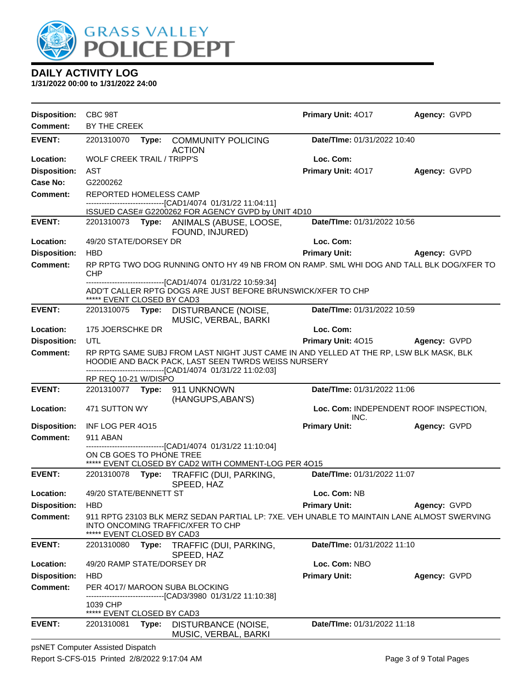

**1/31/2022 00:00 to 1/31/2022 24:00**

| Disposition: CBC 98T |                                        |       |                                                                                                                                                                                                             | Primary Unit: 4017          | Agency: GVPD                           |
|----------------------|----------------------------------------|-------|-------------------------------------------------------------------------------------------------------------------------------------------------------------------------------------------------------------|-----------------------------|----------------------------------------|
| Comment:             | BY THE CREEK                           |       |                                                                                                                                                                                                             |                             |                                        |
| <b>EVENT:</b>        | 2201310070                             |       | Type: COMMUNITY POLICING<br><b>ACTION</b>                                                                                                                                                                   | Date/TIme: 01/31/2022 10:40 |                                        |
| Location:            | <b>WOLF CREEK TRAIL / TRIPP'S</b>      |       |                                                                                                                                                                                                             | Loc. Com:                   |                                        |
| <b>Disposition:</b>  | AST                                    |       |                                                                                                                                                                                                             | Primary Unit: 4017          | Agency: GVPD                           |
| Case No:             | G2200262                               |       |                                                                                                                                                                                                             |                             |                                        |
| <b>Comment:</b>      | REPORTED HOMELESS CAMP                 |       |                                                                                                                                                                                                             |                             |                                        |
|                      |                                        |       | -------------------------[CAD1/4074_01/31/22 11:04:11]<br>ISSUED CASE# G2200262 FOR AGENCY GVPD by UNIT 4D10                                                                                                |                             |                                        |
| <b>EVENT:</b>        |                                        |       | 2201310073 Type: ANIMALS (ABUSE, LOOSE,<br>FOUND, INJURED)                                                                                                                                                  | Date/TIme: 01/31/2022 10:56 |                                        |
| Location:            | 49/20 STATE/DORSEY DR                  |       |                                                                                                                                                                                                             | Loc. Com:                   |                                        |
| <b>Disposition:</b>  | <b>HBD</b>                             |       |                                                                                                                                                                                                             | <b>Primary Unit:</b>        | Agency: GVPD                           |
| <b>Comment:</b>      | <b>CHP</b>                             |       | RP RPTG TWO DOG RUNNING ONTO HY 49 NB FROM ON RAMP. SML WHI DOG AND TALL BLK DOG/XFER TO                                                                                                                    |                             |                                        |
|                      | ***** EVENT CLOSED BY CAD3             |       | ---------------------------------[CAD1/4074 01/31/22 10:59:34]<br>ADD'T CALLER RPTG DOGS ARE JUST BEFORE BRUNSWICK/XFER TO CHP                                                                              |                             |                                        |
| <b>EVENT:</b>        |                                        |       | 2201310075 Type: DISTURBANCE (NOISE,<br>MUSIC, VERBAL, BARKI                                                                                                                                                | Date/TIme: 01/31/2022 10:59 |                                        |
| Location:            | 175 JOERSCHKE DR                       |       |                                                                                                                                                                                                             | Loc. Com:                   |                                        |
| <b>Disposition:</b>  | UTL                                    |       |                                                                                                                                                                                                             | Primary Unit: 4015          | Agency: GVPD                           |
| <b>Comment:</b>      |                                        |       | RP RPTG SAME SUBJ FROM LAST NIGHT JUST CAME IN AND YELLED AT THE RP, LSW BLK MASK, BLK<br>HOODIE AND BACK PACK, LAST SEEN TWRDS WEISS NURSERY<br>-----------------------------[CAD1/4074_01/31/22 11:02:03] |                             |                                        |
|                      | RP REQ 10-21 W/DISPO                   |       |                                                                                                                                                                                                             |                             |                                        |
| <b>EVENT:</b>        |                                        |       | 2201310077    Type: 911    UNKNOWN<br>(HANGUPS, ABAN'S)                                                                                                                                                     | Date/TIme: 01/31/2022 11:06 |                                        |
| Location:            | 471 SUTTON WY                          |       |                                                                                                                                                                                                             | INC.                        | Loc. Com: INDEPENDENT ROOF INSPECTION, |
| <b>Disposition:</b>  | INF LOG PER 4015                       |       |                                                                                                                                                                                                             | <b>Primary Unit:</b>        | Agency: GVPD                           |
| <b>Comment:</b>      | 911 ABAN                               |       |                                                                                                                                                                                                             |                             |                                        |
|                      | ON CB GOES TO PHONE TREE               |       | ------------------------------[CAD1/4074 01/31/22 11:10:04]<br>***** EVENT CLOSED BY CAD2 WITH COMMENT-LOG PER 4015                                                                                         |                             |                                        |
| <b>EVENT:</b>        |                                        |       | 2201310078 Type: TRAFFIC (DUI, PARKING,<br>SPEED, HAZ                                                                                                                                                       | Date/TIme: 01/31/2022 11:07 |                                        |
| Location:            | 49/20 STATE/BENNETT ST                 |       |                                                                                                                                                                                                             | Loc. Com: NB                |                                        |
| <b>Disposition:</b>  | <b>HBD</b>                             |       |                                                                                                                                                                                                             | <b>Primary Unit:</b>        | Agency: GVPD                           |
| <b>Comment:</b>      | ***** EVENT CLOSED BY CAD3             |       | 911 RPTG 23103 BLK MERZ SEDAN PARTIAL LP: 7XE. VEH UNABLE TO MAINTAIN LANE ALMOST SWERVING<br>INTO ONCOMING TRAFFIC/XFER TO CHP                                                                             |                             |                                        |
| <b>EVENT:</b>        | 2201310080                             | Type: | TRAFFIC (DUI, PARKING,<br>SPEED, HAZ                                                                                                                                                                        | Date/TIme: 01/31/2022 11:10 |                                        |
| Location:            | 49/20 RAMP STATE/DORSEY DR             |       |                                                                                                                                                                                                             | Loc. Com: NBO               |                                        |
| <b>Disposition:</b>  | <b>HBD</b>                             |       |                                                                                                                                                                                                             | <b>Primary Unit:</b>        | Agency: GVPD                           |
| <b>Comment:</b>      |                                        |       | PER 4017/ MAROON SUBA BLOCKING                                                                                                                                                                              |                             |                                        |
|                      | 1039 CHP<br>***** EVENT CLOSED BY CAD3 |       | --------------[CAD3/3980_01/31/22 11:10:38]                                                                                                                                                                 |                             |                                        |
| <b>EVENT:</b>        | 2201310081                             | Type: | DISTURBANCE (NOISE,                                                                                                                                                                                         | Date/TIme: 01/31/2022 11:18 |                                        |
|                      |                                        |       | MUSIC, VERBAL, BARKI                                                                                                                                                                                        |                             |                                        |

psNET Computer Assisted Dispatch Report S-CFS-015 Printed 2/8/2022 9:17:04 AM Page 3 of 9 Total Pages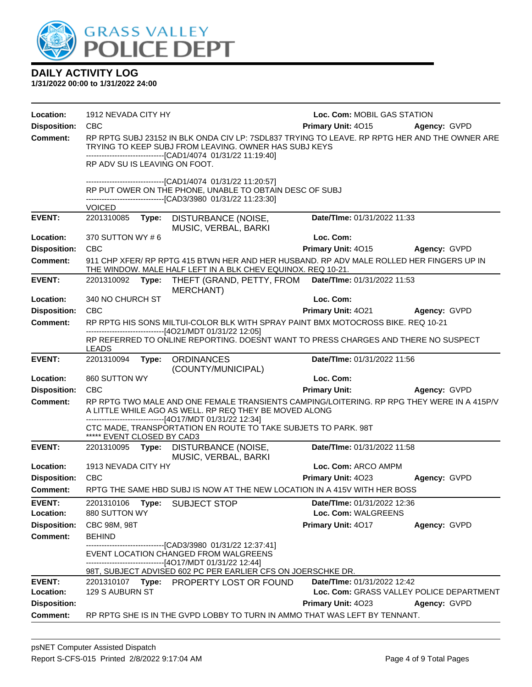

| Location:                              | 1912 NEVADA CITY HY           |                                                                                                                                                                                                                        | Loc. Com: MOBIL GAS STATION     |                                          |
|----------------------------------------|-------------------------------|------------------------------------------------------------------------------------------------------------------------------------------------------------------------------------------------------------------------|---------------------------------|------------------------------------------|
| <b>Disposition:</b>                    | <b>CBC</b>                    |                                                                                                                                                                                                                        | Primary Unit: 4015              | <b>Agency: GVPD</b>                      |
| <b>Comment:</b>                        |                               | RP RPTG SUBJ 23152 IN BLK ONDA CIV LP: 7SDL837 TRYING TO LEAVE. RP RPTG HER AND THE OWNER ARE<br>TRYING TO KEEP SUBJ FROM LEAVING. OWNER HAS SUBJ KEYS<br>-------------------------------[CAD1/4074 01/31/22 11:19:40] |                                 |                                          |
|                                        | RP ADV SU IS LEAVING ON FOOT. |                                                                                                                                                                                                                        |                                 |                                          |
|                                        |                               | -------------------------------[CAD1/4074 01/31/22 11:20:57]<br>RP PUT OWER ON THE PHONE, UNABLE TO OBTAIN DESC OF SUBJ<br>----------------------[CAD3/3980 01/31/22 11:23:30]                                         |                                 |                                          |
|                                        | <b>VOICED</b>                 |                                                                                                                                                                                                                        |                                 |                                          |
| <b>EVENT:</b>                          |                               | 2201310085 Type: DISTURBANCE (NOISE,<br>MUSIC, VERBAL, BARKI                                                                                                                                                           | Date/TIme: 01/31/2022 11:33     |                                          |
| Location:                              | 370 SUTTON WY #6              |                                                                                                                                                                                                                        | Loc. Com:                       |                                          |
| <b>Disposition:</b>                    | <b>CBC</b>                    |                                                                                                                                                                                                                        | Primary Unit: 4015 Agency: GVPD |                                          |
| <b>Comment:</b>                        |                               | 911 CHP XFER/ RP RPTG 415 BTWN HER AND HER HUSBAND. RP ADV MALE ROLLED HER FINGERS UP IN<br>THE WINDOW. MALE HALF LEFT IN A BLK CHEV EQUINOX. REQ 10-21.                                                               |                                 |                                          |
| <b>EVENT:</b>                          | 2201310092 Type:              | THEFT (GRAND, PETTY, FROM Date/Time: 01/31/2022 11:53<br><b>MERCHANT)</b>                                                                                                                                              |                                 |                                          |
| Location:                              | 340 NO CHURCH ST              |                                                                                                                                                                                                                        | Loc. Com:                       |                                          |
| <b>Disposition:</b>                    | <b>CBC</b>                    |                                                                                                                                                                                                                        | Primary Unit: 4021 Agency: GVPD |                                          |
| Comment:                               |                               | RP RPTG HIS SONS MILTUI-COLOR BLK WITH SPRAY PAINT BMX MOTOCROSS BIKE. REQ 10-21<br>-------------------------------[4O21/MDT 01/31/22 12:05]                                                                           |                                 |                                          |
|                                        | <b>LEADS</b>                  | RP REFERRED TO ONLINE REPORTING. DOESNT WANT TO PRESS CHARGES AND THERE NO SUSPECT                                                                                                                                     |                                 |                                          |
| <b>EVENT:</b>                          | 2201310094                    | Type: ORDINANCES<br>(COUNTY/MUNICIPAL)                                                                                                                                                                                 | Date/TIme: 01/31/2022 11:56     |                                          |
| Location:                              | 860 SUTTON WY                 |                                                                                                                                                                                                                        | Loc. Com:                       |                                          |
| <b>Disposition:</b>                    | <b>CBC</b>                    |                                                                                                                                                                                                                        | <b>Primary Unit:</b>            | <b>Agency: GVPD</b>                      |
| <b>Comment:</b>                        |                               | RP RPTG TWO MALE AND ONE FEMALE TRANSIENTS CAMPING/LOITERING. RP RPG THEY WERE IN A 415P/V<br>A LITTLE WHILE AGO AS WELL. RP REQ THEY BE MOVED ALONG<br>-------------------------------[4O17/MDT 01/31/22 12:34]       |                                 |                                          |
|                                        | ***** EVENT CLOSED BY CAD3    | CTC MADE, TRANSPORTATION EN ROUTE TO TAKE SUBJETS TO PARK. 98T                                                                                                                                                         |                                 |                                          |
| <b>EVENT:</b>                          |                               | 2201310095 Type: DISTURBANCE (NOISE,<br>MUSIC, VERBAL, BARKI                                                                                                                                                           | Date/TIme: 01/31/2022 11:58     |                                          |
| Location:                              | 1913 NEVADA CITY HY           |                                                                                                                                                                                                                        | Loc. Com: ARCO AMPM             |                                          |
| <b>Disposition:</b>                    | CBC                           |                                                                                                                                                                                                                        | Primary Unit: 4023              | Agency: GVPD                             |
| Comment:                               |                               | RPTG THE SAME HBD SUBJ IS NOW AT THE NEW LOCATION IN A 415V WITH HER BOSS                                                                                                                                              |                                 |                                          |
| <b>EVENT:</b>                          |                               | 2201310106 Type: SUBJECT STOP                                                                                                                                                                                          | Date/TIme: 01/31/2022 12:36     |                                          |
| Location:                              | 880 SUTTON WY                 |                                                                                                                                                                                                                        | Loc. Com: WALGREENS             |                                          |
| <b>Disposition:</b>                    | CBC 98M, 98T                  |                                                                                                                                                                                                                        | Primary Unit: 4017              | Agency: GVPD                             |
| <b>Comment:</b>                        | <b>BEHIND</b>                 |                                                                                                                                                                                                                        |                                 |                                          |
|                                        |                               | ------------------------------[CAD3/3980 01/31/22 12:37:41]<br>EVENT LOCATION CHANGED FROM WALGREENS                                                                                                                   |                                 |                                          |
|                                        |                               | ------------------------------[4O17/MDT 01/31/22 12:44]                                                                                                                                                                |                                 |                                          |
|                                        |                               | 98T, SUBJECT ADVISED 602 PC PER EARLIER CFS ON JOERSCHKE DR.                                                                                                                                                           |                                 |                                          |
| <b>EVENT:</b>                          |                               | 2201310107 Type: PROPERTY LOST OR FOUND                                                                                                                                                                                | Date/TIme: 01/31/2022 12:42     |                                          |
| Location:                              | 129 S AUBURN ST               |                                                                                                                                                                                                                        |                                 | Loc. Com: GRASS VALLEY POLICE DEPARTMENT |
| <b>Disposition:</b><br><b>Comment:</b> |                               | RP RPTG SHE IS IN THE GVPD LOBBY TO TURN IN AMMO THAT WAS LEFT BY TENNANT.                                                                                                                                             | Primary Unit: 4023              | Agency: GVPD                             |
|                                        |                               |                                                                                                                                                                                                                        |                                 |                                          |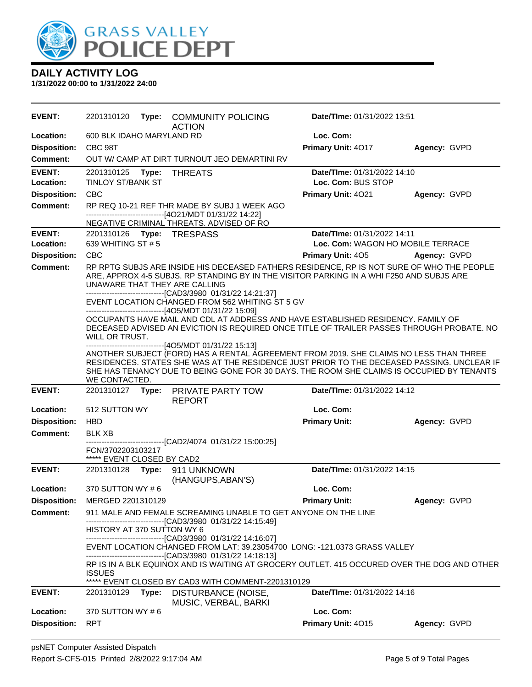

| EVENT:              | 2201310120                               | Type: | <b>COMMUNITY POLICING</b><br><b>ACTION</b>                                                                                                                                                                                                                                                                                                  | <b>Date/Time: 01/31/2022 13:51</b> |              |
|---------------------|------------------------------------------|-------|---------------------------------------------------------------------------------------------------------------------------------------------------------------------------------------------------------------------------------------------------------------------------------------------------------------------------------------------|------------------------------------|--------------|
| Location:           | 600 BLK IDAHO MARYLAND RD                |       |                                                                                                                                                                                                                                                                                                                                             | Loc. Com:                          |              |
| <b>Disposition:</b> | CBC 98T                                  |       |                                                                                                                                                                                                                                                                                                                                             | Primary Unit: 4017                 | Agency: GVPD |
| <b>Comment:</b>     |                                          |       | OUT W/ CAMP AT DIRT TURNOUT JEO DEMARTINI RV                                                                                                                                                                                                                                                                                                |                                    |              |
| <b>EVENT:</b>       | 2201310125 Type:                         |       | <b>THREATS</b>                                                                                                                                                                                                                                                                                                                              | Date/TIme: 01/31/2022 14:10        |              |
| Location:           | <b>TINLOY ST/BANK ST</b>                 |       |                                                                                                                                                                                                                                                                                                                                             | Loc. Com: BUS STOP                 |              |
| <b>Disposition:</b> | <b>CBC</b>                               |       |                                                                                                                                                                                                                                                                                                                                             | Primary Unit: 4021                 | Agency: GVPD |
| <b>Comment:</b>     |                                          |       | RP REQ 10-21 REF THR MADE BY SUBJ 1 WEEK AGO                                                                                                                                                                                                                                                                                                |                                    |              |
|                     |                                          |       | ------------------------------[4O21/MDT 01/31/22 14:22]<br>NEGATIVE CRIMINAL THREATS. ADVISED OF RO                                                                                                                                                                                                                                         |                                    |              |
| <b>EVENT:</b>       | 2201310126 Type: TRESPASS                |       |                                                                                                                                                                                                                                                                                                                                             | Date/TIme: 01/31/2022 14:11        |              |
| Location:           | 639 WHITING ST # 5                       |       |                                                                                                                                                                                                                                                                                                                                             | Loc. Com: WAGON HO MOBILE TERRACE  |              |
| <b>Disposition:</b> | <b>CBC</b>                               |       |                                                                                                                                                                                                                                                                                                                                             | Primary Unit: 405                  | Agency: GVPD |
| <b>Comment:</b>     | UNAWARE THAT THEY ARE CALLING            |       | RP RPTG SUBJS ARE INSIDE HIS DECEASED FATHERS RESIDENCE, RP IS NOT SURE OF WHO THE PEOPLE<br>ARE, APPROX 4-5 SUBJS. RP STANDING BY IN THE VISITOR PARKING IN A WHI F250 AND SUBJS ARE<br>-------------------------------[CAD3/3980 01/31/22 14:21:37]<br>EVENT LOCATION CHANGED FROM 562 WHITING ST 5 GV                                    |                                    |              |
|                     | WILL OR TRUST.                           |       | ------------------------------[4O5/MDT 01/31/22 15:09]<br>OCCUPANTS HAVE MAIL AND CDL AT ADDRESS AND HAVE ESTABLISHED RESIDENCY. FAMILY OF<br>DECEASED ADVISED AN EVICTION IS REQUIRED ONCE TITLE OF TRAILER PASSES THROUGH PROBATE. NO                                                                                                     |                                    |              |
|                     | WE CONTACTED.                            |       | ------------------------------[4O5/MDT 01/31/22 15:13]<br>ANOTHER SUBJECT (FORD) HAS A RENTAL AGREEMENT FROM 2019. SHE CLAIMS NO LESS THAN THREE<br>RESIDENCES. STATES SHE WAS AT THE RESIDENCE JUST PRIOR TO THE DECEASED PASSING. UNCLEAR IF<br>SHE HAS TENANCY DUE TO BEING GONE FOR 30 DAYS. THE ROOM SHE CLAIMS IS OCCUPIED BY TENANTS |                                    |              |
| <b>EVENT:</b>       | 2201310127                               |       | Type: PRIVATE PARTY TOW                                                                                                                                                                                                                                                                                                                     | Date/TIme: 01/31/2022 14:12        |              |
|                     |                                          |       |                                                                                                                                                                                                                                                                                                                                             |                                    |              |
| Location:           | 512 SUTTON WY                            |       | <b>REPORT</b>                                                                                                                                                                                                                                                                                                                               | Loc. Com:                          |              |
| <b>Disposition:</b> | <b>HBD</b>                               |       |                                                                                                                                                                                                                                                                                                                                             | <b>Primary Unit:</b>               | Agency: GVPD |
| Comment:            | <b>BLK XB</b>                            |       |                                                                                                                                                                                                                                                                                                                                             |                                    |              |
|                     | FCN/3702203103217                        |       | -----------------------[CAD2/4074_01/31/22 15:00:25]                                                                                                                                                                                                                                                                                        |                                    |              |
| <b>EVENT:</b>       | ***** EVENT CLOSED BY CAD2<br>2201310128 |       | Type: 911 UNKNOWN                                                                                                                                                                                                                                                                                                                           | Date/TIme: 01/31/2022 14:15        |              |
| Location:           | 370 SUTTON WY # 6                        |       | (HANGUPS, ABAN'S)                                                                                                                                                                                                                                                                                                                           | Loc. Com:                          |              |
| <b>Disposition:</b> | MERGED 2201310129                        |       |                                                                                                                                                                                                                                                                                                                                             | <b>Primary Unit:</b>               | Agency: GVPD |
| <b>Comment:</b>     |                                          |       | 911 MALE AND FEMALE SCREAMING UNABLE TO GET ANYONE ON THE LINE                                                                                                                                                                                                                                                                              |                                    |              |
|                     | HISTORY AT 370 SUTTON WY 6               |       | -------------------------------[CAD3/3980 01/31/22 14:15:49]                                                                                                                                                                                                                                                                                |                                    |              |
|                     |                                          |       | -------------------------------[CAD3/3980_01/31/22 14:16:07]<br>EVENT LOCATION CHANGED FROM LAT: 39.23054700 LONG: -121.0373 GRASS VALLEY                                                                                                                                                                                                   |                                    |              |
|                     | <b>ISSUES</b>                            |       | --------------------------------[CAD3/3980_01/31/22 14:18:13]<br>RP IS IN A BLK EQUINOX AND IS WAITING AT GROCERY OUTLET. 415 OCCURED OVER THE DOG AND OTHER                                                                                                                                                                                |                                    |              |
| <b>EVENT:</b>       | 2201310129                               | Type: | ***** EVENT CLOSED BY CAD3 WITH COMMENT-2201310129<br>DISTURBANCE (NOISE,                                                                                                                                                                                                                                                                   | Date/TIme: 01/31/2022 14:16        |              |
| Location:           | 370 SUTTON WY #6                         |       | MUSIC, VERBAL, BARKI                                                                                                                                                                                                                                                                                                                        | Loc. Com:                          |              |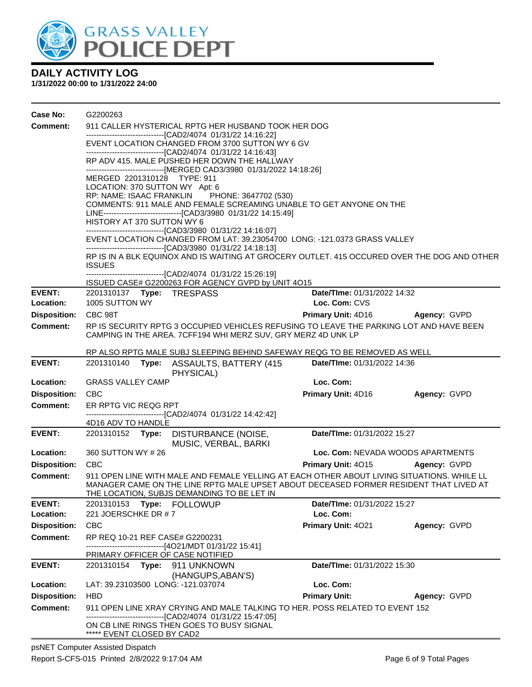

| Case No:            | G2200263                                                                                                                                                                                                                                               |                                                 |                     |  |  |  |
|---------------------|--------------------------------------------------------------------------------------------------------------------------------------------------------------------------------------------------------------------------------------------------------|-------------------------------------------------|---------------------|--|--|--|
| Comment:            | 911 CALLER HYSTERICAL RPTG HER HUSBAND TOOK HER DOG                                                                                                                                                                                                    |                                                 |                     |  |  |  |
|                     | --------------------------------[CAD2/4074 01/31/22 14:16:22]                                                                                                                                                                                          | EVENT LOCATION CHANGED FROM 3700 SUTTON WY 6 GV |                     |  |  |  |
|                     | -------------------------------[CAD2/4074 01/31/22 14:16:43]<br>RP ADV 415. MALE PUSHED HER DOWN THE HALLWAY<br>-------------------------------[MERGED CAD3/3980 01/31/2022 14:18:26]<br>MERGED 2201310128 TYPE: 911<br>LOCATION: 370 SUTTON WY Apt: 6 |                                                 |                     |  |  |  |
|                     |                                                                                                                                                                                                                                                        |                                                 |                     |  |  |  |
|                     |                                                                                                                                                                                                                                                        |                                                 |                     |  |  |  |
|                     |                                                                                                                                                                                                                                                        |                                                 |                     |  |  |  |
|                     | RP: NAME: ISAAC FRANKLIN<br>PHONE: 3647702 (530)<br>COMMENTS: 911 MALE AND FEMALE SCREAMING UNABLE TO GET ANYONE ON THE                                                                                                                                |                                                 |                     |  |  |  |
|                     | LINE-------------------------------[CAD3/3980 01/31/22 14:15:49]                                                                                                                                                                                       |                                                 |                     |  |  |  |
|                     | HISTORY AT 370 SUTTON WY 6                                                                                                                                                                                                                             |                                                 |                     |  |  |  |
|                     | -------------------------------[CAD3/3980 01/31/22 14:16:07]<br>EVENT LOCATION CHANGED FROM LAT: 39.23054700 LONG: -121.0373 GRASS VALLEY                                                                                                              |                                                 |                     |  |  |  |
|                     | ------------------------------[CAD3/3980 01/31/22 14:18:13]                                                                                                                                                                                            |                                                 |                     |  |  |  |
|                     | RP IS IN A BLK EQUINOX AND IS WAITING AT GROCERY OUTLET. 415 OCCURED OVER THE DOG AND OTHER                                                                                                                                                            |                                                 |                     |  |  |  |
|                     | <b>ISSUES</b><br>-------------------------------[CAD2/4074 01/31/22 15:26:19]                                                                                                                                                                          |                                                 |                     |  |  |  |
|                     | ISSUED CASE# G2200263 FOR AGENCY GVPD by UNIT 4O15                                                                                                                                                                                                     |                                                 |                     |  |  |  |
| <b>EVENT:</b>       | 2201310137 Type: TRESPASS                                                                                                                                                                                                                              | Date/TIme: 01/31/2022 14:32                     |                     |  |  |  |
| Location:           | 1005 SUTTON WY                                                                                                                                                                                                                                         | Loc. Com: CVS                                   |                     |  |  |  |
| <b>Disposition:</b> | CBC 98T                                                                                                                                                                                                                                                | Primary Unit: 4D16                              | <b>Agency: GVPD</b> |  |  |  |
| <b>Comment:</b>     | RP IS SECURITY RPTG 3 OCCUPIED VEHICLES REFUSING TO LEAVE THE PARKING LOT AND HAVE BEEN<br>CAMPING IN THE AREA. 7CFF194 WHI MERZ SUV, GRY MERZ 4D UNK LP                                                                                               |                                                 |                     |  |  |  |
|                     | RP ALSO RPTG MALE SUBJ SLEEPING BEHIND SAFEWAY REQG TO BE REMOVED AS WELL                                                                                                                                                                              |                                                 |                     |  |  |  |
| <b>EVENT:</b>       | 2201310140<br>Type: ASSAULTS, BATTERY (415)<br>PHYSICAL)                                                                                                                                                                                               | Date/TIme: 01/31/2022 14:36                     |                     |  |  |  |
| Location:           | <b>GRASS VALLEY CAMP</b>                                                                                                                                                                                                                               | Loc. Com:                                       |                     |  |  |  |
| <b>Disposition:</b> | <b>CBC</b>                                                                                                                                                                                                                                             | <b>Primary Unit: 4D16</b>                       | Agency: GVPD        |  |  |  |
| Comment:            | ER RPTG VIC REQG RPT                                                                                                                                                                                                                                   |                                                 |                     |  |  |  |
|                     | -------------------------[CAD2/4074 01/31/22 14:42:42]<br>4D16 ADV TO HANDLE                                                                                                                                                                           |                                                 |                     |  |  |  |
| <b>EVENT:</b>       | 2201310152 Type: DISTURBANCE (NOISE,<br>MUSIC, VERBAL, BARKI                                                                                                                                                                                           | Date/TIme: 01/31/2022 15:27                     |                     |  |  |  |
| Location:           | 360 SUTTON WY #26                                                                                                                                                                                                                                      | Loc. Com: NEVADA WOODS APARTMENTS               |                     |  |  |  |
| <b>Disposition:</b> | <b>CBC</b>                                                                                                                                                                                                                                             | <b>Primary Unit: 4015</b>                       | Agency: GVPD        |  |  |  |
| Comment:            | 911 OPEN LINE WITH MALE AND FEMALE YELLING AT EACH OTHER ABOUT LIVING SITUATIONS. WHILE LL<br>MANAGER CAME ON THE LINE RPTG MALE UPSET ABOUT DECEASED FORMER RESIDENT THAT LIVED AT<br>THE LOCATION, SUBJS DEMANDING TO BE LET IN                      |                                                 |                     |  |  |  |
| <b>EVENT:</b>       | 2201310153 Type: FOLLOWUP                                                                                                                                                                                                                              | Date/TIme: 01/31/2022 15:27                     |                     |  |  |  |
| Location:           | 221 JOERSCHKE DR #7                                                                                                                                                                                                                                    | Loc. Com:                                       |                     |  |  |  |
| <b>Disposition:</b> | <b>CBC</b>                                                                                                                                                                                                                                             | Primary Unit: 4021                              | Agency: GVPD        |  |  |  |
| Comment:            | RP REQ 10-21 REF CASE# G2200231<br>------------------------------[4O21/MDT 01/31/22 15:41]                                                                                                                                                             |                                                 |                     |  |  |  |
|                     | PRIMARY OFFICER OF CASE NOTIFIED                                                                                                                                                                                                                       |                                                 |                     |  |  |  |
| <b>EVENT:</b>       | 2201310154 Type: 911 UNKNOWN<br>(HANGUPS, ABAN'S)                                                                                                                                                                                                      | Date/TIme: 01/31/2022 15:30                     |                     |  |  |  |
| Location:           | LAT: 39.23103500 LONG: -121.037074                                                                                                                                                                                                                     | Loc. Com:                                       |                     |  |  |  |
| <b>Disposition:</b> | HBD                                                                                                                                                                                                                                                    | <b>Primary Unit:</b>                            | Agency: GVPD        |  |  |  |
| <b>Comment:</b>     | 911 OPEN LINE XRAY CRYING AND MALE TALKING TO HER. POSS RELATED TO EVENT 152<br>-------------------------------[CAD2/4074 01/31/22 15:47:05]                                                                                                           |                                                 |                     |  |  |  |
|                     | ON CB LINE RINGS THEN GOES TO BUSY SIGNAL<br>***** EVENT CLOSED BY CAD2                                                                                                                                                                                |                                                 |                     |  |  |  |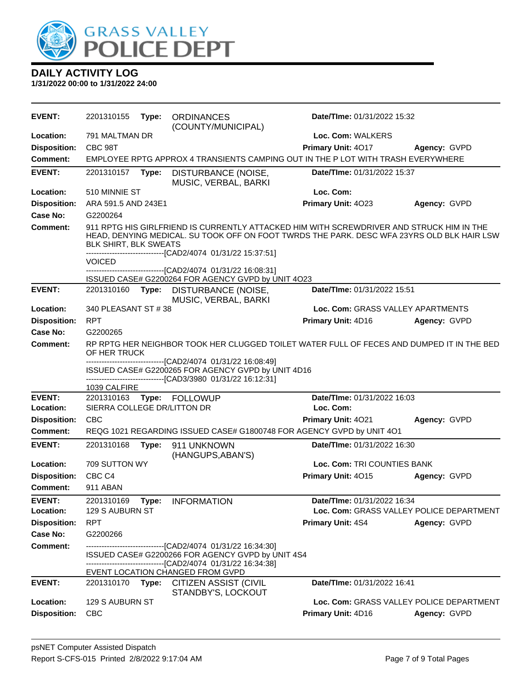

| <b>EVENT:</b>              | 2201310155                             | Type: | <b>ORDINANCES</b><br>(COUNTY/MUNICIPAL)                                                                                                                                                                                                               | <b>Date/Time: 01/31/2022 15:32</b>                                      |              |
|----------------------------|----------------------------------------|-------|-------------------------------------------------------------------------------------------------------------------------------------------------------------------------------------------------------------------------------------------------------|-------------------------------------------------------------------------|--------------|
| Location:                  | 791 MALTMAN DR                         |       |                                                                                                                                                                                                                                                       | Loc. Com: WALKERS                                                       |              |
| <b>Disposition:</b>        | CBC 98T                                |       |                                                                                                                                                                                                                                                       | Primary Unit: 4017                                                      | Agency: GVPD |
| Comment:                   |                                        |       | EMPLOYEE RPTG APPROX 4 TRANSIENTS CAMPING OUT IN THE P LOT WITH TRASH EVERYWHERE                                                                                                                                                                      |                                                                         |              |
| <b>EVENT:</b>              | 2201310157                             | Type: | DISTURBANCE (NOISE,<br>MUSIC, VERBAL, BARKI                                                                                                                                                                                                           | Date/TIme: 01/31/2022 15:37                                             |              |
| Location:                  | 510 MINNIE ST                          |       |                                                                                                                                                                                                                                                       | Loc. Com:                                                               |              |
| <b>Disposition:</b>        | ARA 591.5 AND 243E1                    |       |                                                                                                                                                                                                                                                       | Primary Unit: 4023                                                      | Agency: GVPD |
| Case No:                   | G2200264                               |       |                                                                                                                                                                                                                                                       |                                                                         |              |
| Comment:                   | BLK SHIRT, BLK SWEATS<br><b>VOICED</b> |       | 911 RPTG HIS GIRLFRIEND IS CURRENTLY ATTACKED HIM WITH SCREWDRIVER AND STRUCK HIM IN THE<br>HEAD, DENYING MEDICAL. SU TOOK OFF ON FOOT TWRDS THE PARK. DESC WFA 23YRS OLD BLK HAIR LSW<br>------------------------------[CAD2/4074 01/31/22 15:37:51] |                                                                         |              |
|                            |                                        |       | ---------------[CAD2/4074_01/31/22 16:08:31]                                                                                                                                                                                                          |                                                                         |              |
| <b>EVENT:</b>              | 2201310160 <b>Type:</b>                |       | ISSUED CASE# G2200264 FOR AGENCY GVPD by UNIT 4O23<br>DISTURBANCE (NOISE,                                                                                                                                                                             | Date/TIme: 01/31/2022 15:51                                             |              |
|                            |                                        |       | MUSIC, VERBAL, BARKI                                                                                                                                                                                                                                  |                                                                         |              |
| Location:                  | 340 PLEASANT ST #38                    |       |                                                                                                                                                                                                                                                       | Loc. Com: GRASS VALLEY APARTMENTS                                       |              |
| <b>Disposition:</b>        | <b>RPT</b>                             |       |                                                                                                                                                                                                                                                       | Primary Unit: 4D16                                                      | Agency: GVPD |
| <b>Case No:</b>            | G2200265                               |       |                                                                                                                                                                                                                                                       |                                                                         |              |
| Comment:                   | OF HER TRUCK                           |       | RP RPTG HER NEIGHBOR TOOK HER CLUGGED TOILET WATER FULL OF FECES AND DUMPED IT IN THE BED<br>------------------------[CAD2/4074_01/31/22 16:08:49]                                                                                                    |                                                                         |              |
|                            | 1039 CALFIRE                           |       | ISSUED CASE# G2200265 FOR AGENCY GVPD by UNIT 4D16<br>-------------------------------[CAD3/3980_01/31/22 16:12:31]                                                                                                                                    |                                                                         |              |
| <b>EVENT:</b>              | 2201310163                             |       | Type: FOLLOWUP                                                                                                                                                                                                                                        | Date/TIme: 01/31/2022 16:03                                             |              |
| Location:                  | SIERRA COLLEGE DR/LITTON DR            |       |                                                                                                                                                                                                                                                       | Loc. Com:                                                               |              |
| <b>Disposition:</b>        | <b>CBC</b>                             |       |                                                                                                                                                                                                                                                       | Primary Unit: 4021                                                      | Agency: GVPD |
| <b>Comment:</b>            |                                        |       | REQG 1021 REGARDING ISSUED CASE# G1800748 FOR AGENCY GVPD by UNIT 401                                                                                                                                                                                 |                                                                         |              |
| <b>EVENT:</b>              | 2201310168                             | Type: | 911 UNKNOWN<br>(HANGUPS, ABAN'S)                                                                                                                                                                                                                      | Date/TIme: 01/31/2022 16:30                                             |              |
| Location:                  | 709 SUTTON WY                          |       |                                                                                                                                                                                                                                                       | Loc. Com: TRI COUNTIES BANK                                             |              |
| <b>Disposition:</b>        | CBC <sub>C4</sub>                      |       |                                                                                                                                                                                                                                                       | Primary Unit: 4015                                                      | Agency: GVPD |
| <b>Comment:</b>            | 911 ABAN                               |       |                                                                                                                                                                                                                                                       |                                                                         |              |
| <b>EVENT:</b><br>Location: | 2201310169<br>129 S AUBURN ST          | Type: | <b>INFORMATION</b>                                                                                                                                                                                                                                    | Date/TIme: 01/31/2022 16:34<br>Loc. Com: GRASS VALLEY POLICE DEPARTMENT |              |
| <b>Disposition:</b>        | <b>RPT</b>                             |       |                                                                                                                                                                                                                                                       | <b>Primary Unit: 4S4</b>                                                | Agency: GVPD |
| Case No:                   | G2200266                               |       |                                                                                                                                                                                                                                                       |                                                                         |              |
| <b>Comment:</b>            |                                        |       | -------------------------------[CAD2/4074_01/31/22 16:34:30]<br>ISSUED CASE# G2200266 FOR AGENCY GVPD by UNIT 4S4<br>--------------------------[CAD2/4074_01/31/22 16:34:38]<br>EVENT LOCATION CHANGED FROM GVPD                                      |                                                                         |              |
| <b>EVENT:</b>              | 2201310170                             | Type: | <b>CITIZEN ASSIST (CIVIL</b><br>STANDBY'S, LOCKOUT                                                                                                                                                                                                    | <b>Date/Time: 01/31/2022 16:41</b>                                      |              |
| Location:                  | 129 S AUBURN ST                        |       |                                                                                                                                                                                                                                                       | Loc. Com: GRASS VALLEY POLICE DEPARTMENT                                |              |
| <b>Disposition:</b>        | <b>CBC</b>                             |       |                                                                                                                                                                                                                                                       | Primary Unit: 4D16                                                      | Agency: GVPD |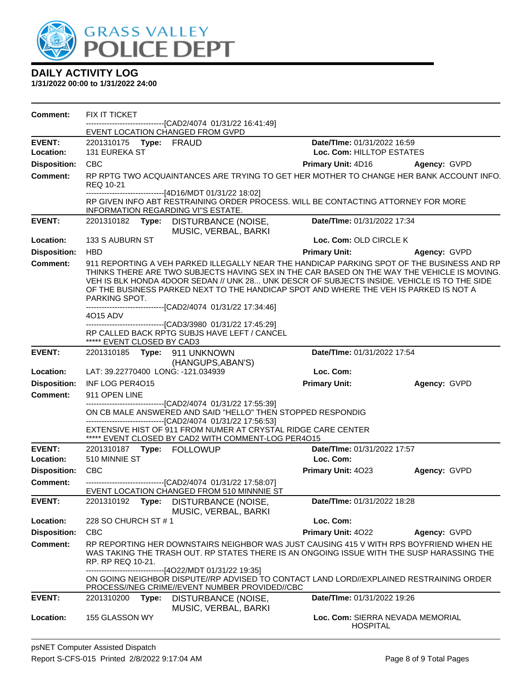

| <b>Comment:</b>                        | FIX IT TICKET<br>-------------------------------[CAD2/4074 01/31/22 16:41:49]                                                                                                                                                                                                                                                                                                                      |                                    |              |
|----------------------------------------|----------------------------------------------------------------------------------------------------------------------------------------------------------------------------------------------------------------------------------------------------------------------------------------------------------------------------------------------------------------------------------------------------|------------------------------------|--------------|
|                                        | EVENT LOCATION CHANGED FROM GVPD                                                                                                                                                                                                                                                                                                                                                                   |                                    |              |
| <b>EVENT:</b>                          | 2201310175 Type: FRAUD                                                                                                                                                                                                                                                                                                                                                                             | Date/TIme: 01/31/2022 16:59        |              |
| Location:                              | <b>131 EUREKA ST</b>                                                                                                                                                                                                                                                                                                                                                                               | Loc. Com: HILLTOP ESTATES          |              |
| <b>Disposition:</b>                    | <b>CBC</b>                                                                                                                                                                                                                                                                                                                                                                                         | <b>Primary Unit: 4D16</b>          | Agency: GVPD |
| <b>Comment:</b>                        | RP RPTG TWO ACQUAINTANCES ARE TRYING TO GET HER MOTHER TO CHANGE HER BANK ACCOUNT INFO.<br>REQ 10-21                                                                                                                                                                                                                                                                                               |                                    |              |
|                                        | -------------------------------[4D16/MDT 01/31/22 18:02]<br>RP GIVEN INFO ABT RESTRAINING ORDER PROCESS. WILL BE CONTACTING ATTORNEY FOR MORE<br>INFORMATION REGARDING VI"S ESTATE.                                                                                                                                                                                                                |                                    |              |
| <b>EVENT:</b>                          | 2201310182<br>Type: DISTURBANCE (NOISE,<br>MUSIC, VERBAL, BARKI                                                                                                                                                                                                                                                                                                                                    | Date/TIme: 01/31/2022 17:34        |              |
| Location:                              | 133 S AUBURN ST                                                                                                                                                                                                                                                                                                                                                                                    | Loc. Com: OLD CIRCLE K             |              |
| <b>Disposition:</b>                    | <b>HBD</b>                                                                                                                                                                                                                                                                                                                                                                                         | <b>Primary Unit:</b>               | Agency: GVPD |
| <b>Comment:</b>                        | 911 REPORTING A VEH PARKED ILLEGALLY NEAR THE HANDICAP PARKING SPOT OF THE BUSINESS AND RP<br>THINKS THERE ARE TWO SUBJECTS HAVING SEX IN THE CAR BASED ON THE WAY THE VEHICLE IS MOVING.<br>VEH IS BLK HONDA 4DOOR SEDAN // UNK 28 UNK DESCR OF SUBJECTS INSIDE. VEHICLE IS TO THE SIDE<br>OF THE BUSINESS PARKED NEXT TO THE HANDICAP SPOT AND WHERE THE VEH IS PARKED IS NOT A<br>PARKING SPOT. |                                    |              |
|                                        | ------------------------------[CAD2/4074 01/31/22 17:34:46]                                                                                                                                                                                                                                                                                                                                        |                                    |              |
|                                        | 4015 ADV<br>--------------------------------[CAD3/3980 01/31/22 17:45:29]                                                                                                                                                                                                                                                                                                                          |                                    |              |
|                                        | RP CALLED BACK RPTG SUBJS HAVE LEFT / CANCEL<br>***** EVENT CLOSED BY CAD3                                                                                                                                                                                                                                                                                                                         |                                    |              |
| <b>EVENT:</b>                          | 2201310185 Type: 911 UNKNOWN<br>(HANGUPS, ABAN'S)                                                                                                                                                                                                                                                                                                                                                  | Date/TIme: 01/31/2022 17:54        |              |
| Location:                              | LAT: 39.22770400 LONG: -121.034939                                                                                                                                                                                                                                                                                                                                                                 | Loc. Com:                          |              |
| <b>Disposition:</b>                    | INF LOG PER4015                                                                                                                                                                                                                                                                                                                                                                                    | <b>Primary Unit:</b>               | Agency: GVPD |
| <b>Comment:</b>                        | 911 OPEN LINE                                                                                                                                                                                                                                                                                                                                                                                      |                                    |              |
|                                        | ---------------------------------[CAD2/4074 01/31/22 17:55:39]<br>ON CB MALE ANSWERED AND SAID "HELLO" THEN STOPPED RESPONDIG<br>------------------------------[CAD2/4074_01/31/22 17:56:53]                                                                                                                                                                                                       |                                    |              |
|                                        |                                                                                                                                                                                                                                                                                                                                                                                                    |                                    |              |
|                                        | EXTENSIVE HIST OF 911 FROM NUMER AT CRYSTAL RIDGE CARE CENTER<br>***** EVENT CLOSED BY CAD2 WITH COMMENT-LOG PER4O15                                                                                                                                                                                                                                                                               |                                    |              |
| <b>EVENT:</b>                          |                                                                                                                                                                                                                                                                                                                                                                                                    | Date/TIme: 01/31/2022 17:57        |              |
| Location:                              | 510 MINNIE ST                                                                                                                                                                                                                                                                                                                                                                                      | Loc. Com:                          |              |
| <b>Disposition:</b>                    | <b>CBC</b>                                                                                                                                                                                                                                                                                                                                                                                         | Primary Unit: 4023                 | Agency: GVPD |
| <b>Comment:</b>                        | -------------------------------[CAD2/4074 01/31/22 17:58:07]                                                                                                                                                                                                                                                                                                                                       |                                    |              |
| <b>EVENT:</b>                          | EVENT LOCATION CHANGED FROM 510 MINNNIE ST<br>2201310192<br>DISTURBANCE (NOISE,<br>Type:                                                                                                                                                                                                                                                                                                           | Date/TIme: 01/31/2022 18:28        |              |
| Location:                              | MUSIC, VERBAL, BARKI<br>228 SO CHURCH ST # 1                                                                                                                                                                                                                                                                                                                                                       | Loc. Com:                          |              |
|                                        |                                                                                                                                                                                                                                                                                                                                                                                                    |                                    |              |
| <b>Disposition:</b><br><b>Comment:</b> | <b>CBC</b><br>RP REPORTING HER DOWNSTAIRS NEIGHBOR WAS JUST CAUSING 415 V WITH RPS BOYFRIEND WHEN HE<br>WAS TAKING THE TRASH OUT. RP STATES THERE IS AN ONGOING ISSUE WITH THE SUSP HARASSING THE<br>RP. RP REQ 10-21.                                                                                                                                                                             | Primary Unit: 4022                 | Agency: GVPD |
|                                        | -------------------------------[4O22/MDT 01/31/22 19:35]<br>ON GOING NEIGHBOR DISPUTE//RP ADVISED TO CONTACT LAND LORD//EXPLAINED RESTRAINING ORDER<br>PROCESS//NEG CRIME//EVENT NUMBER PROVIDED//CBC                                                                                                                                                                                              |                                    |              |
| <b>EVENT:</b>                          | DISTURBANCE (NOISE,<br>2201310200<br>Type:<br>MUSIC, VERBAL, BARKI                                                                                                                                                                                                                                                                                                                                 | <b>Date/Time: 01/31/2022 19:26</b> |              |